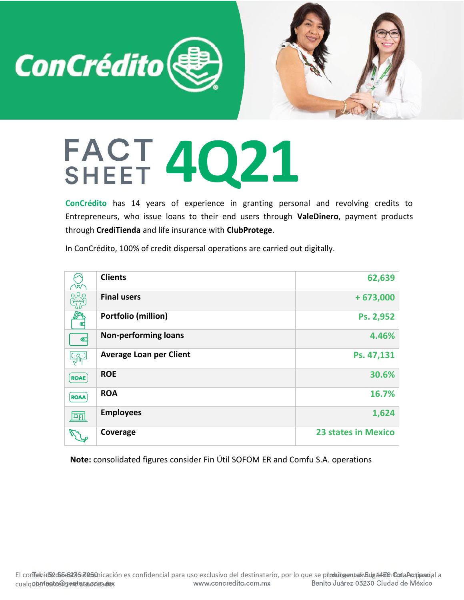

## **4Q21**

**ConCrédito** has 14 years of experience in granting personal and revolving credits to Entrepreneurs, who issue loans to their end users through **ValeDinero**, payment products through **CrediTienda** and life insurance with **ClubProtege**.

In ConCrédito, 100% of credit dispersal operations are carried out digitally.

|             | <b>Clients</b>                 | 62,639                     |
|-------------|--------------------------------|----------------------------|
| <b>200</b>  | <b>Final users</b>             | $+673,000$                 |
|             | Portfolio (million)            | Ps. 2,952                  |
| $\bullet$   | <b>Non-performing loans</b>    | 4.46%                      |
|             | <b>Average Loan per Client</b> | Ps. 47,131                 |
| <b>ROAE</b> | <b>ROE</b>                     | 30.6%                      |
| <b>ROAA</b> | <b>ROA</b>                     | 16.7%                      |
| 囸           | <b>Employees</b>               | 1,624                      |
|             | Coverage                       | <b>23 states in Mexico</b> |

**Note:** consolidated figures consider Fin Útil SOFOM ER and Comfu S.A. operations